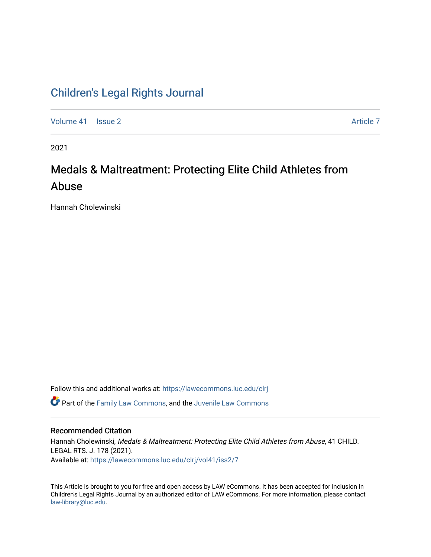## [Children's Legal Rights Journal](https://lawecommons.luc.edu/clrj)

[Volume 41](https://lawecommons.luc.edu/clrj/vol41) | [Issue 2](https://lawecommons.luc.edu/clrj/vol41/iss2) [Article 7](https://lawecommons.luc.edu/clrj/vol41/iss2/7) Article 7 Article 7 Article 7 Article 7 Article 7 Article 7

2021

# Medals & Maltreatment: Protecting Elite Child Athletes from Abuse

Hannah Cholewinski

Follow this and additional works at: [https://lawecommons.luc.edu/clrj](https://lawecommons.luc.edu/clrj?utm_source=lawecommons.luc.edu%2Fclrj%2Fvol41%2Fiss2%2F7&utm_medium=PDF&utm_campaign=PDFCoverPages)

**C** Part of the [Family Law Commons,](http://network.bepress.com/hgg/discipline/602?utm_source=lawecommons.luc.edu%2Fclrj%2Fvol41%2Fiss2%2F7&utm_medium=PDF&utm_campaign=PDFCoverPages) and the Juvenile Law Commons

#### Recommended Citation

Hannah Cholewinski, Medals & Maltreatment: Protecting Elite Child Athletes from Abuse, 41 CHILD. LEGAL RTS. J. 178 (2021). Available at: [https://lawecommons.luc.edu/clrj/vol41/iss2/7](https://lawecommons.luc.edu/clrj/vol41/iss2/7?utm_source=lawecommons.luc.edu%2Fclrj%2Fvol41%2Fiss2%2F7&utm_medium=PDF&utm_campaign=PDFCoverPages) 

This Article is brought to you for free and open access by LAW eCommons. It has been accepted for inclusion in Children's Legal Rights Journal by an authorized editor of LAW eCommons. For more information, please contact [law-library@luc.edu](mailto:law-library@luc.edu).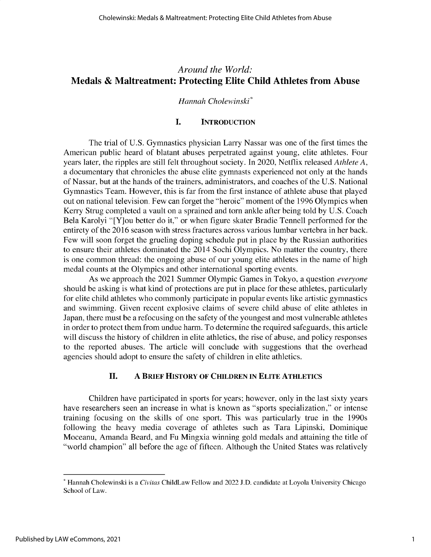### *Around the World:* **Medals & Maltreatment: Protecting Elite Child Athletes from Abuse**

#### *Hannah Cholewinski\**

#### **I. INTRODUCTION**

The trial of U.S. Gymnastics physician Larry Nassar was one of the first times the American public heard of blatant abuses perpetrated against young, elite athletes. Four years later, the ripples are still felt throughout society. In 2020, Netflix released *Athlete A,* a documentary that chronicles the abuse elite gymnasts experienced not only at the hands of Nassar, but at the hands of the trainers, administrators, and coaches of the U.S. National Gymnastics Team. However, this is far from the first instance of athlete abuse that played out on national television. Few can forget the "heroic" moment of the 1996 Olympics when Kerry Strug completed a vault on a sprained and torn ankle after being told by U.S. Coach Bela Karolyi "[Y]ou better do it," or when figure skater Bradie Tennell performed for the entirety of the 2016 season with stress fractures across various lumbar vertebra in her back. Few will soon forget the grueling doping schedule put in place by the Russian authorities to ensure their athletes dominated the 2014 Sochi Olympics. No matter the country, there is one common thread: the ongoing abuse of our young elite athletes in the name of high medal counts at the Olympics and other international sporting events.

As we approach the 2021 Summer Olympic Games in Tokyo, a question *everyone* should be asking is what kind of protections are put in place for these athletes, particularly for elite child athletes who commonly participate in popular events like artistic gymnastics and swimming. Given recent explosive claims of severe child abuse of elite athletes in Japan, there must be a refocusing on the safety of the youngest and most vulnerable athletes in order to protect them from undue harm. To determine the required safeguards, this article will discuss the history of children in elite athletics, the rise of abuse, and policy responses to the reported abuses. The article will conclude with suggestions that the overhead agencies should adopt to ensure the safety of children in elite athletics.

#### **II. A BRIEF HISTORY OF CHILDREN IN ELITE ATHLETICS**

Children have participated in sports for years; however, only in the last sixty years have researchers seen an increase in what is known as "sports specialization," or intense training focusing on the skills of one sport. This was particularly true in the 1990s following the heavy media coverage of athletes such as Tara Lipinski, Dominique Moceanu, Amanda Beard, and Fu Mingxia winning gold medals and attaining the title of "world champion" all before the age of fifteen. Although the United States was relatively

<sup>\*</sup> Hannah Cholewinski is *a Civitas* ChildLaw Fellow and 2022 **J.D.** candidate at Loyola University Chicago School of Law.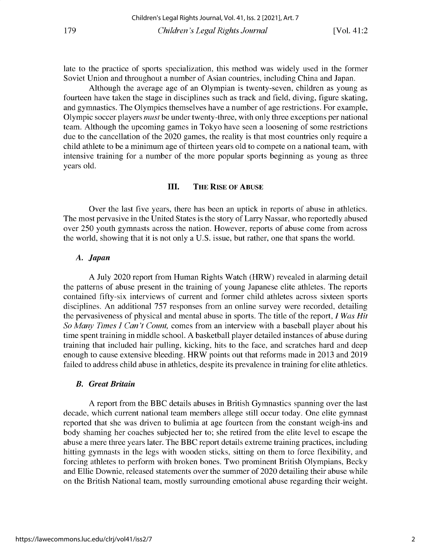late to the practice of sports specialization, this method was widely used in the former Soviet Union and throughout a number of Asian countries, including China and Japan.

Although the average age of an Olympian is twenty-seven, children as young as fourteen have taken the stage in disciplines such as track and field, diving, figure skating, and gymnastics. The Olympics themselves have a number of age restrictions. For example, Olympic soccer players *must* be under twenty-three, with only three exceptions per national team. Although the upcoming games in Tokyo have seen a loosening of some restrictions due to the cancellation of the 2020 games, the reality is that most countries only require a child athlete to be a minimum age of thirteen years old to compete on a national team, with intensive training for a number of the more popular sports beginning as young as three years old.

#### **III. THE RISE OF ABUSE**

Over the last five years, there has been an uptick in reports of abuse in athletics. The most pervasive in the United States is the story of Larry Nassar, who reportedly abused over 250 youth gymnasts across the nation. However, reports of abuse come from across the world, showing that it is not only a U.S. issue, but rather, one that spans the world.

#### *A. Japan*

A July 2020 report from Human Rights Watch (HRW) revealed in alarming detail the patterns of abuse present in the training of young Japanese elite athletes. The reports contained fifty-six interviews of current and former child athletes across sixteen sports disciplines. An additional 757 responses from an online survey were recorded, detailing the pervasiveness of physical and mental abuse in sports. The title of the report, *I Was Hit So Many Times I Can't Count,* comes from an interview with a baseball player about his time spent training in middle school. A basketball player detailed instances of abuse during training that included hair pulling, kicking, hits to the face, and scratches hard and deep enough to cause extensive bleeding. HRW points out that reforms made in 2013 and 2019 failed to address child abuse in athletics, despite its prevalence in training for elite athletics.

#### *B. Great Britain*

A report from the BBC details abuses in British Gymnastics spanning over the last decade, which current national team members allege still occur today. One elite gymnast reported that she was driven to bulimia at age fourteen from the constant weigh-ins and body shaming her coaches subjected her to; she retired from the elite level to escape the abuse a mere three years later. The BBC report details extreme training practices, including hitting gymnasts in the legs with wooden sticks, sitting on them to force flexibility, and forcing athletes to perform with broken bones. Two prominent British Olympians, Becky and Ellie Downie, released statements over the summer of 2020 detailing their abuse while on the British National team, mostly surrounding emotional abuse regarding their weight.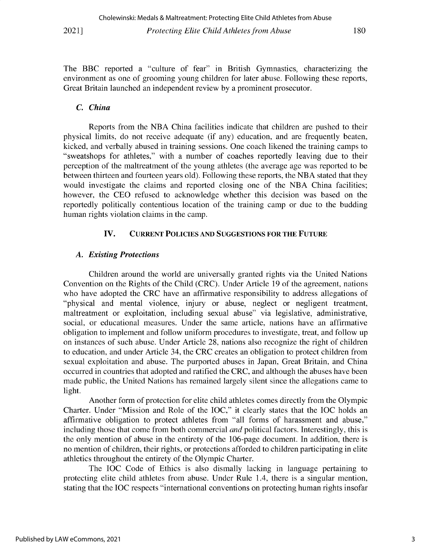**The BBC reported a "culture of fear" in British Gymnastics, characterizing the environment as one of grooming young children for later abuse. Following these reports, Great Britain launched an independent review by a prominent prosecutor.**

#### *C. China*

**Reports from the NBA China facilities indicate that children are pushed to their physical limits, do not receive adequate (if any) education, and are frequently beaten, kicked, and verbally abused in training sessions. One coach likened the training camps to "sweatshops for athletes,"** with **a number of coaches reportedly leaving due to their** perception of the maltreatment of the young athletes (the average age was reported to be between thirteen and fourteen years old). Following these reports, the NBA stated that they **would investigate the claims and reported closing one of the NBA China facilities; however, the CEO refused to acknowledge whether this decision was based on the reportedly politically contentious location of the training camp or due to the budding** human rights violation claims in the camp.

#### **IV. CURRENT POLICIES AND SUGGESTIONS FOR THE FUTURE**

#### *A. Existing Protections*

Children around the world are universally granted rights via the United Nations Convention on the Rights of the Child (CRC). Under Article 19 of the agreement, nations who have adopted the CRC have an affirmative responsibility to address allegations of **"physical and mental violence, injury or abuse, neglect or negligent treatment, maltreatment or exploitation, including sexual abuse" via legislative, administrative, social, or educational measures. Under the same article, nations have an affirmative obligation to implement and follow uniform procedures to investigate, treat, and follow up** on instances of such abuse. Under Article 28, nations also recognize the right of children to education, and under Article 34, the CRC creates an obligation to protect children from **sexual exploitation and abuse. The purported abuses in Japan, Great Britain, and China occurred in countries that adopted and ratified the CRC, and although the abuses have been made public, the United Nations has remained largely silent since the allegations came to** light.

Another form of protection for elite child athletes comes directly from the Olympic Charter. Under "Mission and Role of the IOC," it clearly states that the IOC holds an **affirmative obligation to protect athletes from "all forms of harassment and abuse,"** including those that come from both commercial *and* political factors. Interestingly, this is **the only mention of abuse in the entirety of the 106-page document. In addition, there is no mention of children, their rights, or protections afforded to children participating in elite** athletics throughout the entirety of the Olympic Charter.

The IOC Code of Ethics is also dismally lacking in language pertaining to **protecting elite child athletes from abuse. Under Rule 1.4, there is a singular mention, stating that the IOC respects "international conventions on protecting human rights insofar**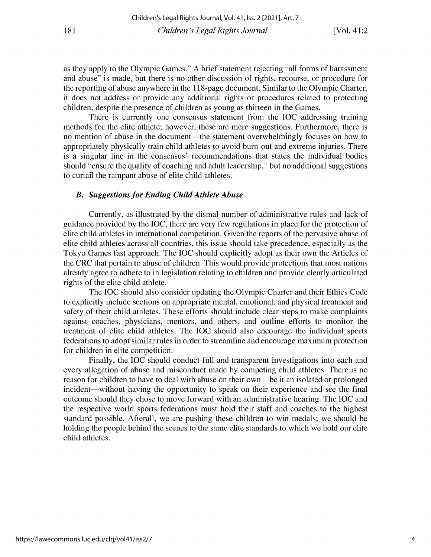as they apply to the Olympic Games." A brief statement rejecting "all forms of harassment **and abuse" is made, but there is no other discussion of rights, recourse, or procedure for the reporting of abuse anywhere in the 118-page document. Similar to the Olympic Charter, it does not address or provide any additional rights or procedures related to protecting children, despite the presence of children as young as thirteen in the Games.**

There is currently one consensus statement from the IOC addressing training methods for the elite athlete; however, these are mere suggestions. Furthermore, there is **no mention of abuse in the document-the statement overwhelmingly focuses on how to appropriately physically train child athletes to avoid burn-out and extreme injuries. There is a singular line in the consensus' recommendations that states the individual bodies should "ensure the quality of coaching and adult leadership," but no additional suggestions** to curtail the rampant abuse of elite child athletes.

#### *B. Suggestions for Ending Child Athlete Abuse*

**Currently, as illustrated by the dismal number of administrative rules and lack of** guidance provided by the IOC, there are very few regulations in place for the protection of **elite child athletes in international competition. Given the reports of the pervasive abuse of elite child athletes across all countries, this issue should take precedence, especially as the** Tokyo Games fast approach. The IOC should explicitly adopt as their own the Articles of the CRC that pertain to abuse of children. This would provide protections that most nations **already agree to adhere to in legislation relating to children and provide clearly articulated** rights of the elite child athlete.

The IOC should also consider updating the Olympic Charter and their Ethics Code **to explicitly include sections on appropriate mental, emotional, and physical treatment and safety of their child athletes. These efforts should include clear steps to make complaints against coaches, physicians, mentors, and others, and outline efforts to monitor the treatment of elite child athletes. The IOC should also encourage the individual sports federations to adopt similar rules in order to streamline and encourage maximum protection for children in elite competition.**

**Finally, the IOC should conduct full and transparent investigations into each and every allegation of abuse and misconduct made by competing child athletes. There is no** reason for children to have to deal with abuse on their own—be it an isolated or prolonged incident—without having the opportunity to speak on their experience and see the final outcome should they chose to move forward with an administrative hearing. The IOC and the respective world sports federations must hold their staff and coaches to the highest standard possible. Afterall, we are pushing these children to win medals; we should be **holding the people behind the scenes to the same elite standards to which we hold our elite** child athletes.